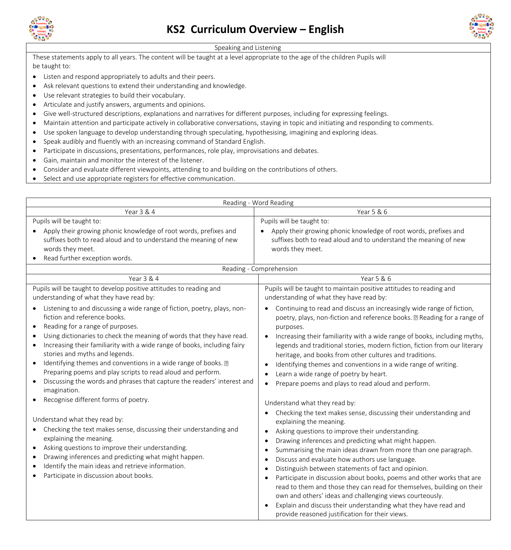

## **KS2 Curriculum Overview – English**



## Speaking and Listening

These statements apply to all years. The content will be taught at a level appropriate to the age of the children Pupils will be taught to:

- Listen and respond appropriately to adults and their peers.
- Ask relevant questions to extend their understanding and knowledge.
- Use relevant strategies to build their vocabulary.
- Articulate and justify answers, arguments and opinions.
- Give well-structured descriptions, explanations and narratives for different purposes, including for expressing feelings.
- Maintain attention and participate actively in collaborative conversations, staying in topic and initiating and responding to comments.
- Use spoken language to develop understanding through speculating, hypothesising, imagining and exploring ideas.
- Speak audibly and fluently with an increasing command of Standard English.
- Participate in discussions, presentations, performances, role play, improvisations and debates.
- Gain, maintain and monitor the interest of the listener.
- Consider and evaluate different viewpoints, attending to and building on the contributions of others.
- Select and use appropriate registers for effective communication.

| Reading - Word Reading                                                                                                                                                                                                                                                                                                                                                                                                                                                                                                                                                                                                                                                                                                     |                                                                                                                                                                                                                                                                                                                                                                                                                                                                                                                                                                                                                                                                                                                                                                    |
|----------------------------------------------------------------------------------------------------------------------------------------------------------------------------------------------------------------------------------------------------------------------------------------------------------------------------------------------------------------------------------------------------------------------------------------------------------------------------------------------------------------------------------------------------------------------------------------------------------------------------------------------------------------------------------------------------------------------------|--------------------------------------------------------------------------------------------------------------------------------------------------------------------------------------------------------------------------------------------------------------------------------------------------------------------------------------------------------------------------------------------------------------------------------------------------------------------------------------------------------------------------------------------------------------------------------------------------------------------------------------------------------------------------------------------------------------------------------------------------------------------|
| Year 3 & 4                                                                                                                                                                                                                                                                                                                                                                                                                                                                                                                                                                                                                                                                                                                 | Year 5 & 6                                                                                                                                                                                                                                                                                                                                                                                                                                                                                                                                                                                                                                                                                                                                                         |
| Pupils will be taught to:                                                                                                                                                                                                                                                                                                                                                                                                                                                                                                                                                                                                                                                                                                  | Pupils will be taught to:                                                                                                                                                                                                                                                                                                                                                                                                                                                                                                                                                                                                                                                                                                                                          |
| Apply their growing phonic knowledge of root words, prefixes and<br>suffixes both to read aloud and to understand the meaning of new<br>words they meet.<br>Read further exception words.                                                                                                                                                                                                                                                                                                                                                                                                                                                                                                                                  | Apply their growing phonic knowledge of root words, prefixes and<br>suffixes both to read aloud and to understand the meaning of new<br>words they meet.                                                                                                                                                                                                                                                                                                                                                                                                                                                                                                                                                                                                           |
| Reading - Comprehension                                                                                                                                                                                                                                                                                                                                                                                                                                                                                                                                                                                                                                                                                                    |                                                                                                                                                                                                                                                                                                                                                                                                                                                                                                                                                                                                                                                                                                                                                                    |
| Year 3 & 4                                                                                                                                                                                                                                                                                                                                                                                                                                                                                                                                                                                                                                                                                                                 | Year 5 & 6                                                                                                                                                                                                                                                                                                                                                                                                                                                                                                                                                                                                                                                                                                                                                         |
| Pupils will be taught to develop positive attitudes to reading and<br>understanding of what they have read by:                                                                                                                                                                                                                                                                                                                                                                                                                                                                                                                                                                                                             | Pupils will be taught to maintain positive attitudes to reading and<br>understanding of what they have read by:                                                                                                                                                                                                                                                                                                                                                                                                                                                                                                                                                                                                                                                    |
| Listening to and discussing a wide range of fiction, poetry, plays, non-<br>fiction and reference books.<br>Reading for a range of purposes.<br>Using dictionaries to check the meaning of words that they have read.<br>Increasing their familiarity with a wide range of books, including fairy<br>stories and myths and legends.<br>Identifying themes and conventions in a wide range of books. a<br>$\bullet$<br>Preparing poems and play scripts to read aloud and perform.<br>Discussing the words and phrases that capture the readers' interest and<br>imagination.<br>Recognise different forms of poetry.<br>Understand what they read by:<br>Checking the text makes sense, discussing their understanding and | Continuing to read and discuss an increasingly wide range of fiction,<br>poetry, plays, non-fiction and reference books. a Reading for a range of<br>purposes.<br>Increasing their familiarity with a wide range of books, including myths,<br>legends and traditional stories, modern fiction, fiction from our literary<br>heritage, and books from other cultures and traditions.<br>Identifying themes and conventions in a wide range of writing.<br>c<br>Learn a wide range of poetry by heart.<br>٠<br>Prepare poems and plays to read aloud and perform.<br>Understand what they read by:<br>Checking the text makes sense, discussing their understanding and<br>explaining the meaning.<br>Asking questions to improve their understanding.<br>$\bullet$ |
| explaining the meaning.<br>Asking questions to improve their understanding.<br>$\bullet$<br>Drawing inferences and predicting what might happen.<br>Identify the main ideas and retrieve information.<br>Participate in discussion about books.                                                                                                                                                                                                                                                                                                                                                                                                                                                                            | Drawing inferences and predicting what might happen.<br>٠<br>Summarising the main ideas drawn from more than one paragraph.<br>- 0<br>Discuss and evaluate how authors use language.<br>Distinguish between statements of fact and opinion.<br>Participate in discussion about books, poems and other works that are<br>read to them and those they can read for themselves, building on their<br>own and others' ideas and challenging views courteously.<br>Explain and discuss their understanding what they have read and<br>$\bullet$<br>provide reasoned justification for their views.                                                                                                                                                                      |